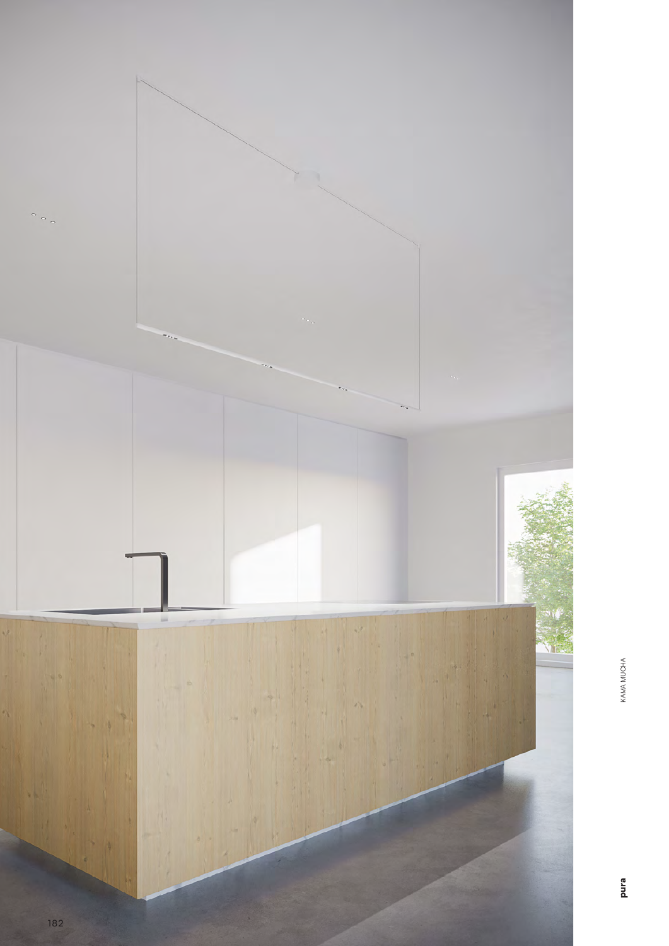

KAMA MUCHA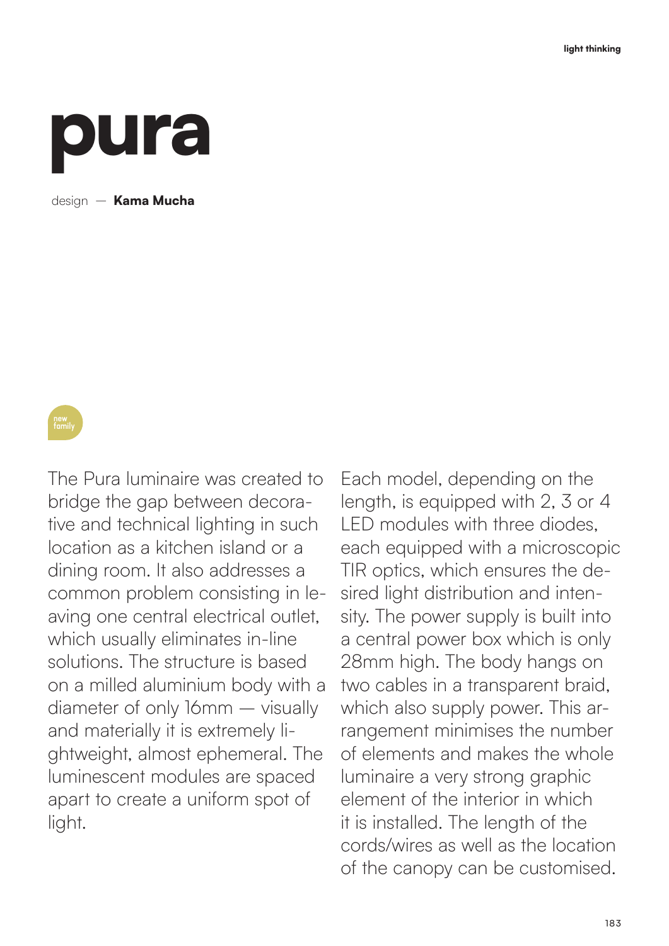## pura

design — **Kama Mucha** 

family

The Pura luminaire was created to bridge the gap between decorative and technical lighting in such location as a kitchen island or a dining room. It also addresses a common problem consisting in leaving one central electrical outlet, which usually eliminates in-line solutions. The structure is based on a milled aluminium body with a diameter of only 16mm – visually and materially it is extremely lightweight, almost ephemeral. The luminescent modules are spaced apart to create a uniform spot of light.

Each model, depending on the length, is equipped with 2, 3 or 4 LED modules with three diodes, each equipped with a microscopic TIR optics, which ensures the desired light distribution and intensity. The power supply is built into a central power box which is only 28mm high. The body hangs on two cables in a transparent braid, which also supply power. This arrangement minimises the number of elements and makes the whole luminaire a very strong graphic element of the interior in which it is installed. The length of the cords/wires as well as the location of the canopy can be customised.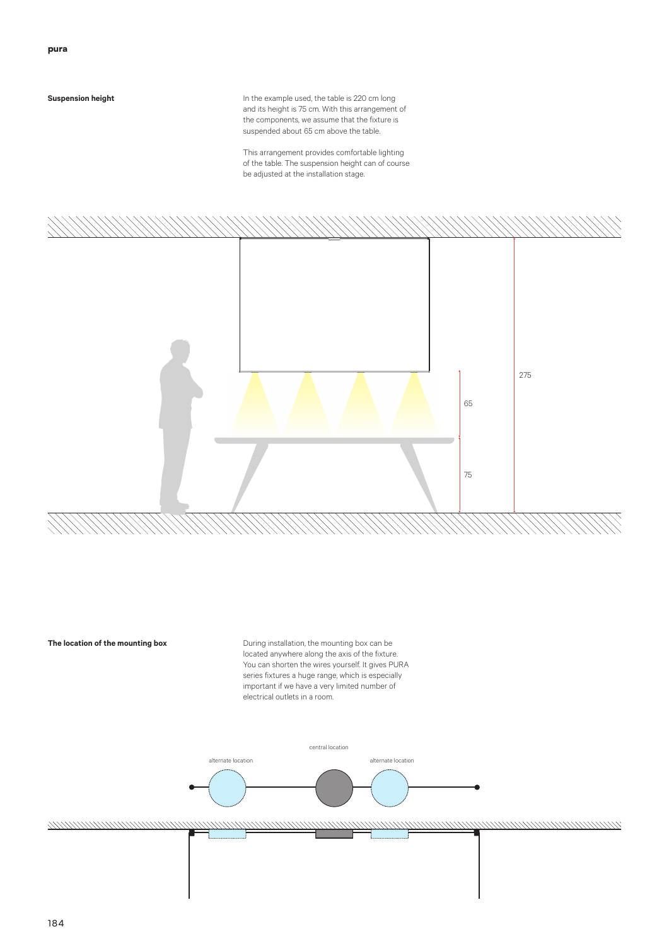## **Suspension height**

In the example used, the table is 220 cm long and its height is 75 cm. With this arrangement of the components, we assume that the fixture is suspended about 65 cm above the table.

This arrangement provides comfortable lighting of the table. The suspension height can of course be adjusted at the installation stage.



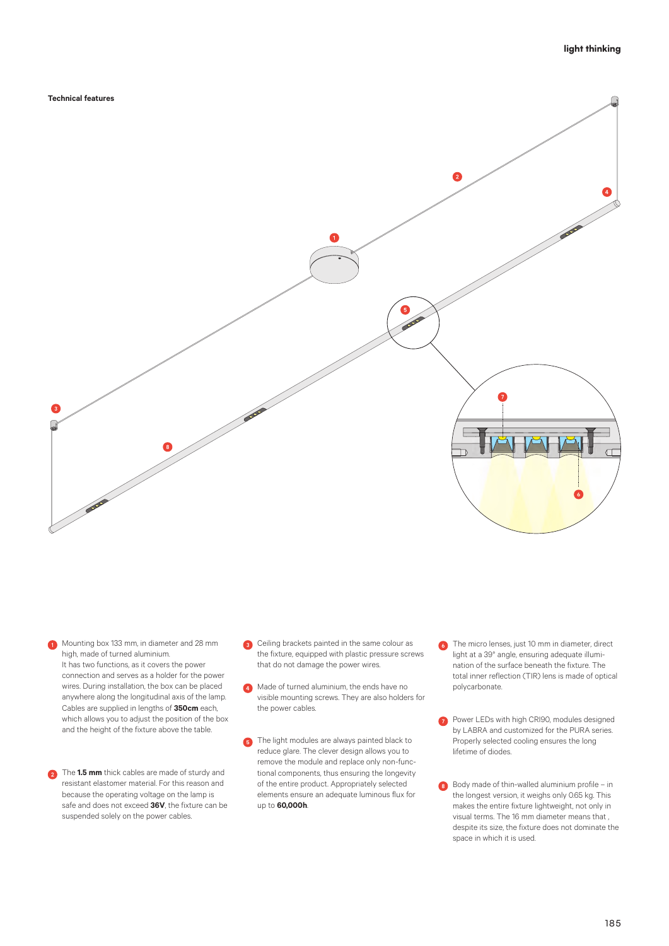**Technical features**



**Mounting box 133 mm, in diameter and 28 mm** high, made of turned aluminium. It has two functions, as it covers the power connection and serves as a holder for the power wires. During installation, the box can be placed anywhere along the longitudinal axis of the lamp. Cables are supplied in lengths of **350cm** each, which allows you to adjust the position of the box and the height of the fixture above the table.

**2** The **1.5 mm** thick cables are made of sturdy and resistant elastomer material. For this reason and because the operating voltage on the lamp is safe and does not exceed **36V**, the fixture can be suspended solely on the power cables.

- ceiling brackets painted in the same colour as the fixture, equipped with plastic pressure screws that do not damage the power wires.
- **A** Made of turned aluminium, the ends have no visible mounting screws. They are also holders for the power cables.
- **5** The light modules are always painted black to reduce glare. The clever design allows you to remove the module and replace only non-functional components, thus ensuring the longevity of the entire product. Appropriately selected elements ensure an adequate luminous flux for up to **60,000h**.
- **6** The micro lenses, just 10 mm in diameter, direct light at a 39° angle, ensuring adequate illumination of the surface beneath the fixture. The total inner reflection (TIR) lens is made of optical polycarbonate.
- **Power LEDs with high CRI90, modules designed** by LABRA and customized for the PURA series. Properly selected cooling ensures the long lifetime of diodes.
- Body made of thin-walled aluminium profile in the longest version, it weighs only 0.65 kg. This makes the entire fixture lightweight, not only in visual terms. The 16 mm diameter means that , despite its size, the fixture does not dominate the space in which it is used.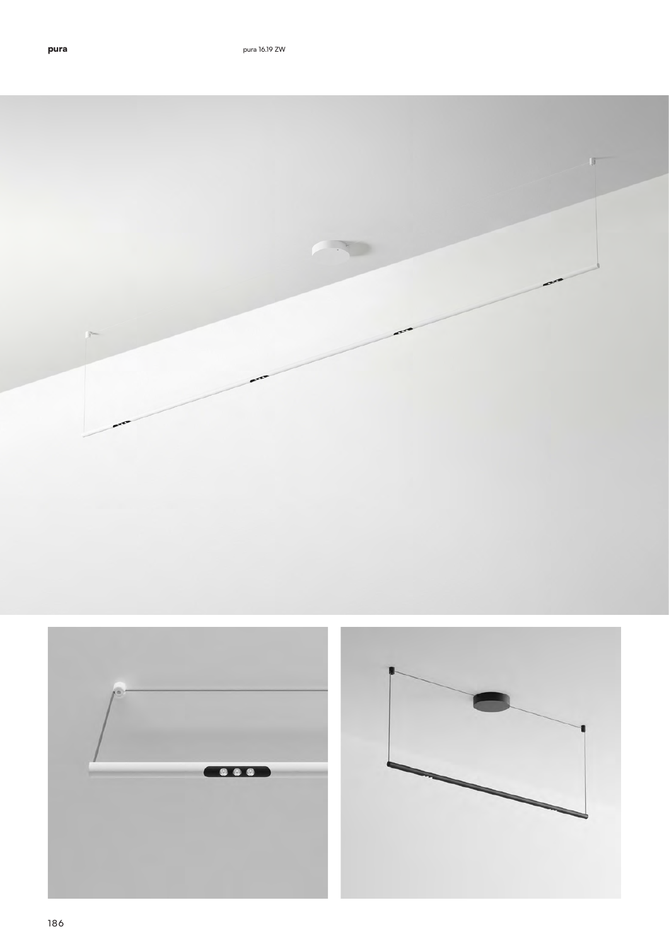